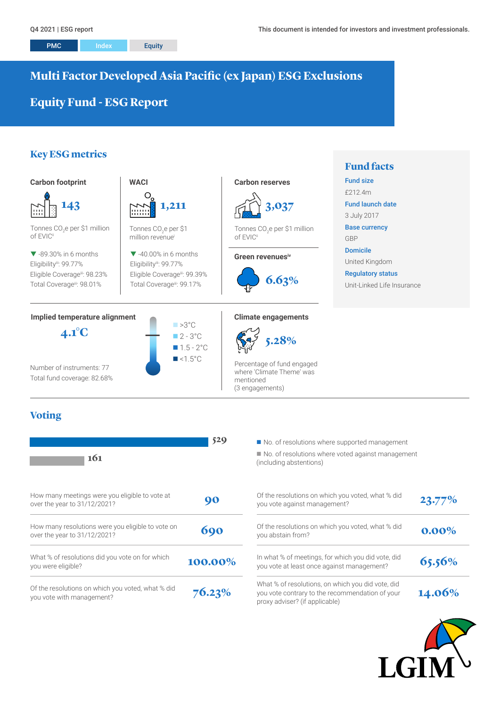# **Multi Factor Developed Asia Pacific (ex Japan) ESG Exclusions**

# **Equity Fund - ESG Report**

# **Key ESG metrics**



# **Voting**

| 161                                                                               | 529     | No. of resolutions where supported management<br>No. of resolutions where voted against manage<br>(including abstentions)              |
|-----------------------------------------------------------------------------------|---------|----------------------------------------------------------------------------------------------------------------------------------------|
| How many meetings were you eligible to vote at<br>over the year to 31/12/2021?    | 90      | Of the resolutions on which you voted, what % did<br>you vote against management?                                                      |
| How many resolutions were you eligible to vote on<br>over the year to 31/12/2021? | 690     | Of the resolutions on which you voted, what % did<br>you abstain from?                                                                 |
| What % of resolutions did you vote on for which<br>you were eligible?             | 100.00% | In what % of meetings, for which you did vote, did<br>you vote at least once against management?                                       |
| Of the resolutions on which you voted, what % did<br>you vote with management?    | 76.23%  | What % of resolutions, on which you did vote, did<br>you vote contrary to the recommendation of your<br>proxy adviser? (if applicable) |

 $\blacksquare$  No. of resolutions where voted against management (including abstentions)

| Of the resolutions on which you voted, what % did<br>you vote against management?                                                      | 23.77%   |
|----------------------------------------------------------------------------------------------------------------------------------------|----------|
| Of the resolutions on which you voted, what % did<br>you abstain from?                                                                 | $0.00\%$ |
| In what % of meetings, for which you did vote, did<br>you vote at least once against management?                                       | 65.56%   |
| What % of resolutions, on which you did vote, did<br>you vote contrary to the recommendation of your<br>proxy adviser? (if applicable) | 14.06%   |

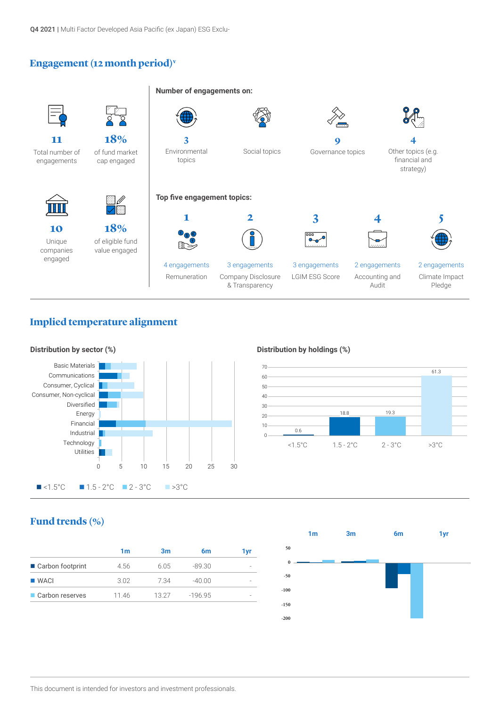Q4 2021 | Multi Factor Developed Asia Pacific (ex Japan) ESG Exclu-

## **Engagement (12 month period)v**



## **Implied temperature alignment**



#### **Distribution by holdings (%)**



## **Fund trends (%)**

| 4.56 | 605   | $-89.30$ |  |
|------|-------|----------|--|
| 3.02 | 7.34  | $-40.00$ |  |
|      | 13.27 | $-19695$ |  |
|      | 1146  |          |  |

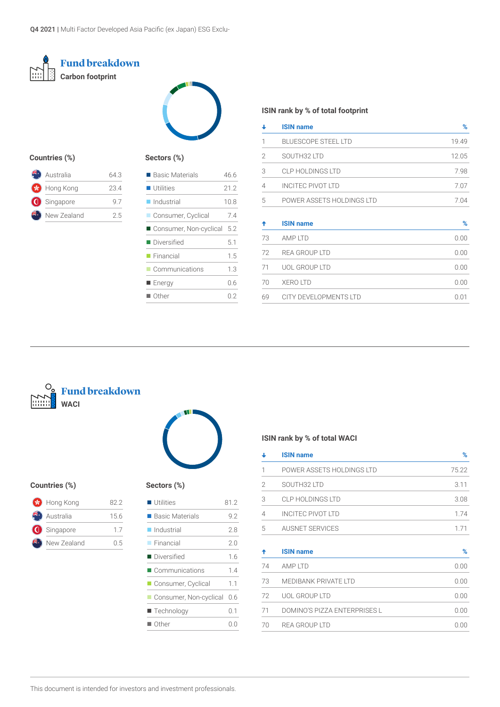



#### **Countries (%)**

| Australia          | 643 |
|--------------------|-----|
| <b>S</b> Hong Kong | 234 |
| Singapore          | 97  |
| New Zealand        | 25  |
|                    |     |

## **Sectors (%)**

| 46 6 |
|------|
| 21.2 |
| 10.8 |
| 74   |
| 5.2  |
| 5.1  |
| 15   |
| 1.3  |
| 0.6  |
| ი 2  |
|      |

#### **ISIN rank by % of total footprint**

| ↓              | <b>ISIN name</b>           | $\%$  |
|----------------|----------------------------|-------|
| 1              | <b>BLUESCOPE STEEL LTD</b> | 19.49 |
| $\overline{2}$ | SOUTH32 LTD                | 12.05 |
| 3              | <b>CLP HOLDINGS LTD</b>    | 7.98  |
| 4              | <b>INCITEC PIVOT LTD</b>   | 7.07  |
| 5              | POWER ASSETS HOLDINGS LTD  | 7.04  |
| ↟              | <b>ISIN name</b>           | $\%$  |
| 73             | AMP LTD                    | 0.00  |
| 72             | <b>REA GROUP LTD</b>       | 0.00  |
| 71             | <b>UOL GROUP LTD</b>       | 0.00  |
| 70             | <b>XERO LTD</b>            | 0.00  |
| 69             | CITY DEVELOPMENTS LTD      | 0.01  |





#### **Countries (%) S**

| <b>S</b> Hong Kong | 822  |
|--------------------|------|
| Australia          | 15.6 |
| Singapore          | 17   |
| New Zealand        | 0.5  |

| Sectors (%)              |      |
|--------------------------|------|
| $\blacksquare$ Utilities | 81.2 |
| ■ Basic Materials        | 9.2  |
| ■ Industrial             | 2.8  |
| $\blacksquare$ Financial | 2.0  |
| ■ Diversified            | 16   |
| Communications           | 14   |
| Consumer, Cyclical       | 1.1  |
| Consumer, Non-cyclical   | 0.6  |
| ■ Technology             | 0.1  |

 $\blacksquare$  Other 0.0

## **ISIN rank by % of total WACI**

| ↓  | <b>ISIN name</b>             | %     |
|----|------------------------------|-------|
| 1  | POWER ASSETS HOLDINGS LTD    | 75.22 |
| 2  | SOUTH32 LTD                  | 3.11  |
| 3  | <b>CLP HOLDINGS LTD</b>      | 3.08  |
| 4  | <b>INCITEC PIVOT LTD</b>     | 1.74  |
| 5  | <b>AUSNET SERVICES</b>       | 1.71  |
| ↟  | <b>ISIN name</b>             | %     |
| 74 | AMP LTD                      | 0.00  |
| 73 | <b>MEDIBANK PRIVATE LTD</b>  | 0.00  |
| 72 | <b>UOL GROUP LTD</b>         | 0.00  |
| 71 | DOMINO'S PIZZA ENTERPRISES L | 0.00  |
| 70 | REA GROUP LTD                | 0.00  |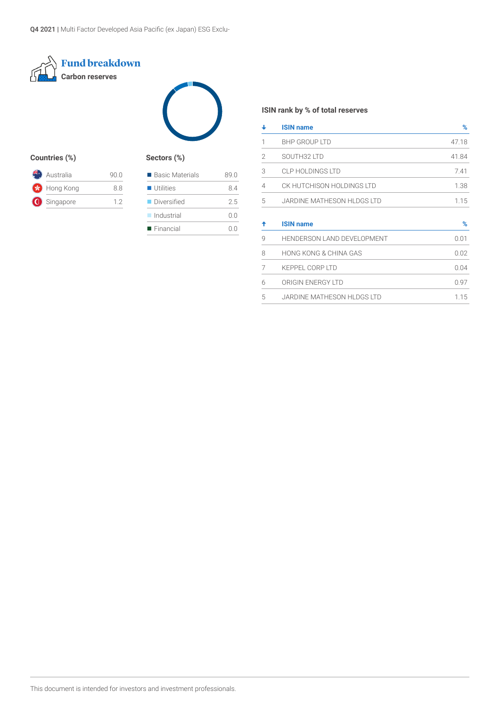



## **Countries (%) Sectors (%)**

| Australia   | 90 O |
|-------------|------|
| Hong Kong   | 88   |
| G Singapore | 12   |

| ■ Basic Materials        | 89.0    |
|--------------------------|---------|
| <b>Utilities</b>         | 84      |
| Diversified              | 2.5     |
| $\Box$ Industrial        | 0.0     |
| $\blacksquare$ Financial | ( ) ( ) |

## **ISIN rank by % of total reserves**

| ┹ | <b>ISIN name</b>           | %     |
|---|----------------------------|-------|
| 1 | <b>BHP GROUP LTD</b>       | 47.18 |
| 2 | SOUTH32 LTD                | 41.84 |
| 3 | <b>CLP HOLDINGS LTD</b>    | 7.41  |
| 4 | CK HUTCHISON HOLDINGS LTD  | 1.38  |
| 5 | JARDINE MATHESON HLDGS LTD | 1.15  |
|   |                            |       |
| ↟ | <b>ISIN name</b>           | %     |
| 9 | HENDERSON LAND DEVELOPMENT | 0.01  |
| 8 | HONG KONG & CHINA GAS      | 0.02  |
| 7 | <b>KEPPEL CORP LTD</b>     | 0.04  |
| 6 | ORIGIN ENERGY LTD          | 0.97  |
| 5 | JARDINE MATHESON HLDGS LTD | 1.15  |